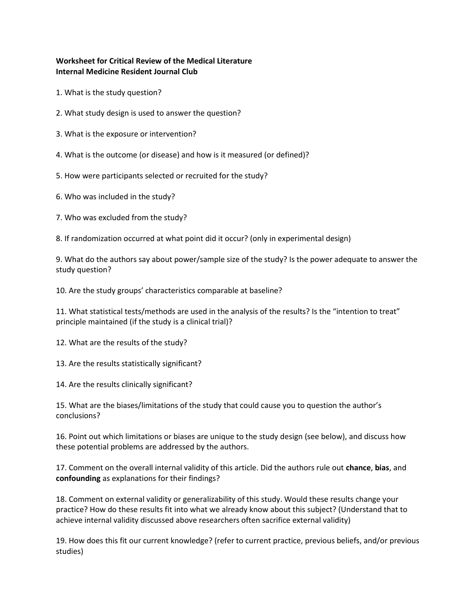# **Worksheet for Critical Review of the Medical Literature Internal Medicine Resident Journal Club**

- 1. What is the study question?
- 2. What study design is used to answer the question?
- 3. What is the exposure or intervention?
- 4. What is the outcome (or disease) and how is it measured (or defined)?
- 5. How were participants selected or recruited for the study?
- 6. Who was included in the study?
- 7. Who was excluded from the study?
- 8. If randomization occurred at what point did it occur? (only in experimental design)

9. What do the authors say about power/sample size of the study? Is the power adequate to answer the study question?

10. Are the study groups' characteristics comparable at baseline?

11. What statistical tests/methods are used in the analysis of the results? Is the "intention to treat" principle maintained (if the study is a clinical trial)?

12. What are the results of the study?

13. Are the results statistically significant?

14. Are the results clinically significant?

15. What are the biases/limitations of the study that could cause you to question the author's conclusions?

16. Point out which limitations or biases are unique to the study design (see below), and discuss how these potential problems are addressed by the authors.

17. Comment on the overall internal validity of this article. Did the authors rule out **chance**, **bias**, and **confounding** as explanations for their findings?

18. Comment on external validity or generalizability of this study. Would these results change your practice? How do these results fit into what we already know about this subject? (Understand that to achieve internal validity discussed above researchers often sacrifice external validity)

19. How does this fit our current knowledge? (refer to current practice, previous beliefs, and/or previous studies)